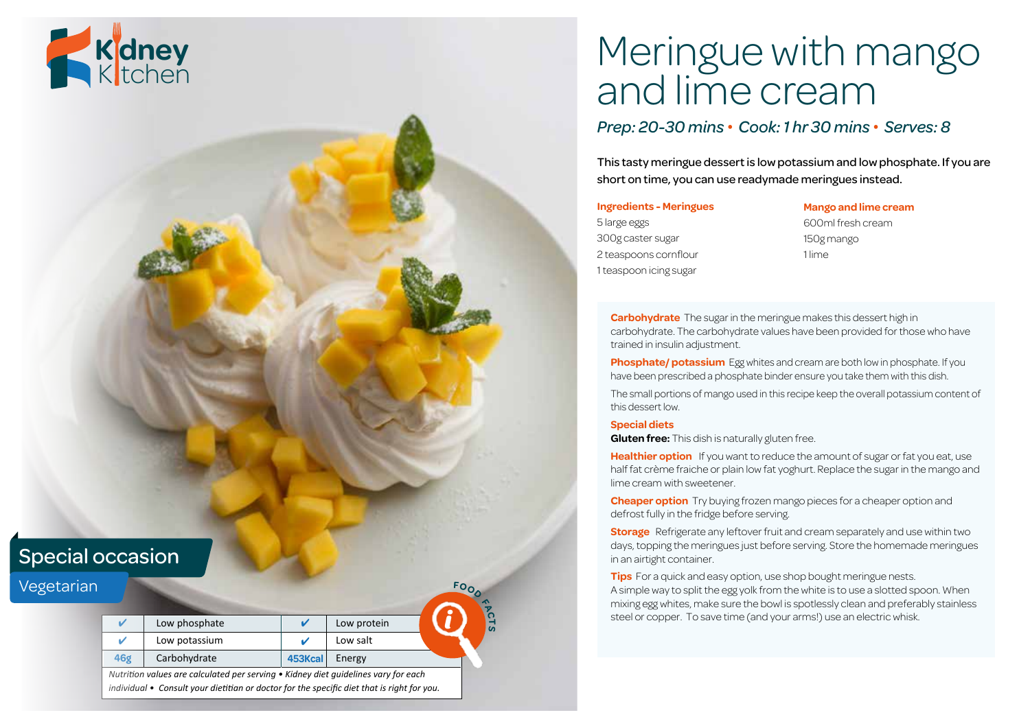# Meringue with mango and lime cream

### *Prep: 20-30 mins • Cook: 1 hr 30 mins • Serves: 8*

This tasty meringue dessert is low potassium and low phosphate. If you are short on time, you can use readymade meringues instead.

#### **Ingredients - Meringues**

5 large eggs 300g caster sugar 2 teaspoons cornflour 1 teaspoon icing sugar

**Mango and lime cream**

600ml fresh cream 150g mango 1 lime

**Carbohydrate** The sugar in the meringue makes this dessert high in carbohydrate. The carbohydrate values have been provided for those who have trained in insulin adjustment.

**Phosphate/ potassium** Egg whites and cream are both low in phosphate. If you have been prescribed a phosphate binder ensure you take them with this dish.

The small portions of mango used in this recipe keep the overall potassium content of this dessert low.

#### **Special diets**

**Gluten free:** This dish is naturally gluten free.

**Healthier option** If you want to reduce the amount of sugar or fat you eat, use half fat crème fraiche or plain low fat yoghurt. Replace the sugar in the mango and lime cream with sweetener.

**Cheaper option** Try buying frozen mango pieces for a cheaper option and defrost fully in the fridge before serving.

**Storage** Refrigerate any leftover fruit and cream separately and use within two days, topping the meringues just before serving. Store the homemade meringues in an airtight container.

**Tips** For a quick and easy option, use shop bought meringue nests. A simple way to split the egg yolk from the white is to use a slotted spoon. When mixing egg whites, make sure the bowl is spotlessly clean and preferably stainless steel or copper. To save time (and your arms!) use an electric whisk.

### Special occasion

| Vegetarian |                                                                                                                                                                                  |               |         |             | <b>FOO</b> |
|------------|----------------------------------------------------------------------------------------------------------------------------------------------------------------------------------|---------------|---------|-------------|------------|
|            |                                                                                                                                                                                  | Low phosphate |         | Low protein | <b>'</b> 이 |
|            | ٠                                                                                                                                                                                | Low potassium |         | Low salt    |            |
|            | 46g                                                                                                                                                                              | Carbohydrate  | 453Kcal | Energy      |            |
|            | Nutrition values are calculated per serving • Kidney diet quidelines vary for each<br>individual • Consult your dietitian or doctor for the specific diet that is right for you. |               |         |             |            |